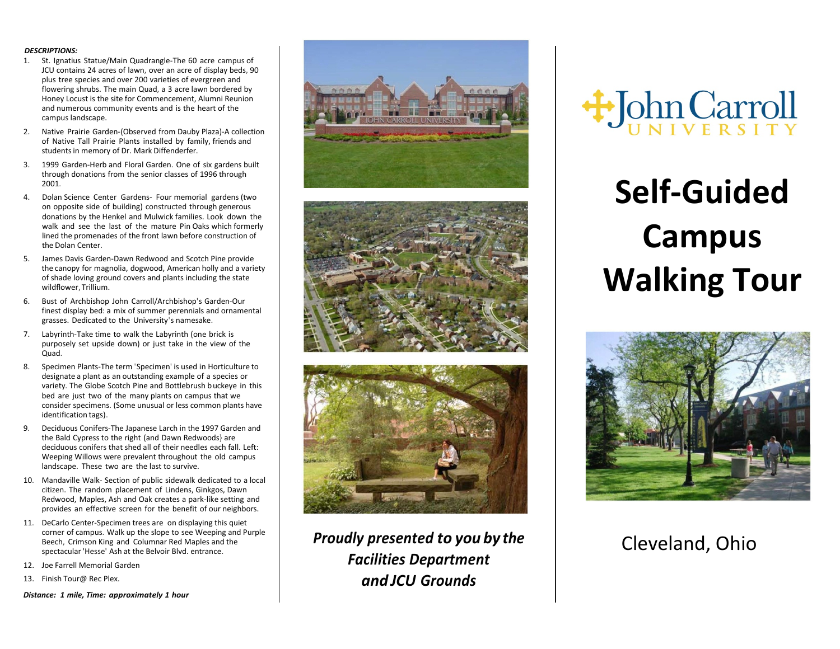## *DESCRIPTIONS:*

- 1. St. Ignatius Statue/Main Quadrangle-The 60 acre campus of JCU contains 24 acres of lawn, over an acre of display beds, 90 plus tree species and over 200 varieties of evergreen and flowering shrubs. The main Quad, a 3 acre lawn bordered by Honey Locust is the site for Commencement, Alumni Reunion and numerous community events and is the heart of the campus landscape.
- 2. Native Prairie Garden-(Observed from Dauby Plaza)-A collection of Native Tall Prairie Plants installed by family, friends and students in memory of Dr. Mark Diffenderfer.
- 3. 1999 Garden-Herb and Floral Garden. One of six gardens built through donations from the senior classes of 1996 through 2001.
- 4. Dolan Science Center Gardens- Four memorial gardens (two on opposite side of building) constructed through generous donations by the Henkel and Mulwick families. Look down the walk and see the last of the mature Pin Oaks which formerly lined the promenades of the front lawn before construction of the Dolan Center.
- 5. James Davis Garden-Dawn Redwood and Scotch Pine provide the canopy for magnolia, dogwood, American holly and a variety of shade loving ground covers and plants including the state wildflower, Trillium.
- 6. Bust of Archbishop John Carroll/Archbishop's Garden-Our finest display bed: a mix of summer perennials and ornamental grasses. Dedicated to the University's namesake.
- 7. Labyrinth-Take time to walk the Labyrinth (one brick is purposely set upside down) or just take in the view of the Quad.
- 8. Specimen Plants-The term 'Specimen' is used in Horticulture to designate a plant as an outstanding example of a species or variety. The Globe Scotch Pine and Bottlebrush buckeye in this bed are just two of the many plants on campus that we consider specimens. (Some unusual or less common plants have identification tags).
- 9. Deciduous Conifers-The Japanese Larch in the 1997 Garden and the Bald Cypress to the right (and Dawn Redwoods} are deciduous conifers that shed all of their needles each fall. Left: Weeping Willows were prevalent throughout the old campus landscape. These two are the last to survive.
- 10. Mandaville Walk- Section of public sidewalk dedicated to a local citizen. The random placement of Lindens, Ginkgos, Dawn Redwood, Maples, Ash and Oak creates a park-like setting and provides an effective screen for the benefit of our neighbors.
- 11. DeCarlo Center-Specimen trees are on displaying this quiet corner of campus. Walk up the slope to see Weeping and Purple Beech, Crimson King and Columnar Red Maples and the spectacular 'Hesse' Ash at the Belvoir Blvd. entrance.
- 12. Joe Farrell Memorial Garden
- 13. Finish Tour@ Rec Plex.

*Distance: 1 mile, Time: approximately 1 hour*







*Proudly presented to you by the Facilities Department and JCU Grounds*



## **Self-Guided Campus Walking Tour**



## Cleveland, Ohio